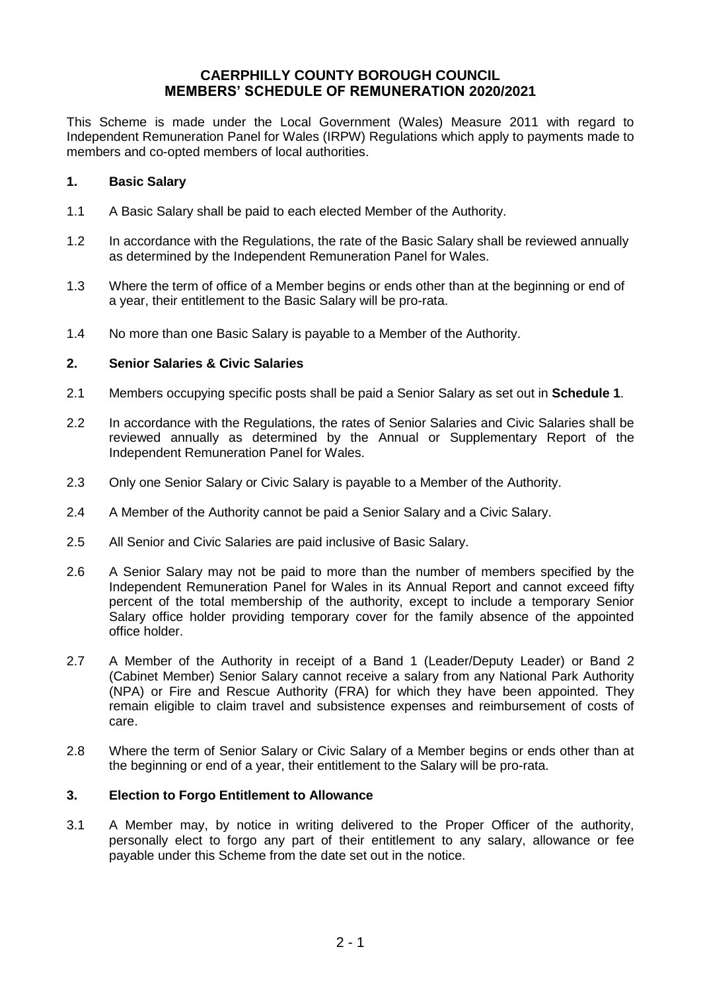# **CAERPHILLY COUNTY BOROUGH COUNCIL MEMBERS' SCHEDULE OF REMUNERATION 2020/2021**

This Scheme is made under the Local Government (Wales) Measure 2011 with regard to Independent Remuneration Panel for Wales (IRPW) Regulations which apply to payments made to members and co-opted members of local authorities.

## **1. Basic Salary**

- 1.1 A Basic Salary shall be paid to each elected Member of the Authority.
- 1.2 In accordance with the Regulations, the rate of the Basic Salary shall be reviewed annually as determined by the Independent Remuneration Panel for Wales.
- 1.3 Where the term of office of a Member begins or ends other than at the beginning or end of a year, their entitlement to the Basic Salary will be pro-rata.
- 1.4 No more than one Basic Salary is payable to a Member of the Authority.

## **2. Senior Salaries & Civic Salaries**

- 2.1 Members occupying specific posts shall be paid a Senior Salary as set out in **Schedule 1**.
- 2.2 In accordance with the Regulations, the rates of Senior Salaries and Civic Salaries shall be reviewed annually as determined by the Annual or Supplementary Report of the Independent Remuneration Panel for Wales.
- 2.3 Only one Senior Salary or Civic Salary is payable to a Member of the Authority.
- 2.4 A Member of the Authority cannot be paid a Senior Salary and a Civic Salary.
- 2.5 All Senior and Civic Salaries are paid inclusive of Basic Salary.
- 2.6 A Senior Salary may not be paid to more than the number of members specified by the Independent Remuneration Panel for Wales in its Annual Report and cannot exceed fifty percent of the total membership of the authority, except to include a temporary Senior Salary office holder providing temporary cover for the family absence of the appointed office holder.
- 2.7 A Member of the Authority in receipt of a Band 1 (Leader/Deputy Leader) or Band 2 (Cabinet Member) Senior Salary cannot receive a salary from any National Park Authority (NPA) or Fire and Rescue Authority (FRA) for which they have been appointed. They remain eligible to claim travel and subsistence expenses and reimbursement of costs of care.
- 2.8 Where the term of Senior Salary or Civic Salary of a Member begins or ends other than at the beginning or end of a year, their entitlement to the Salary will be pro-rata.

## **3. Election to Forgo Entitlement to Allowance**

3.1 A Member may, by notice in writing delivered to the Proper Officer of the authority, personally elect to forgo any part of their entitlement to any salary, allowance or fee payable under this Scheme from the date set out in the notice.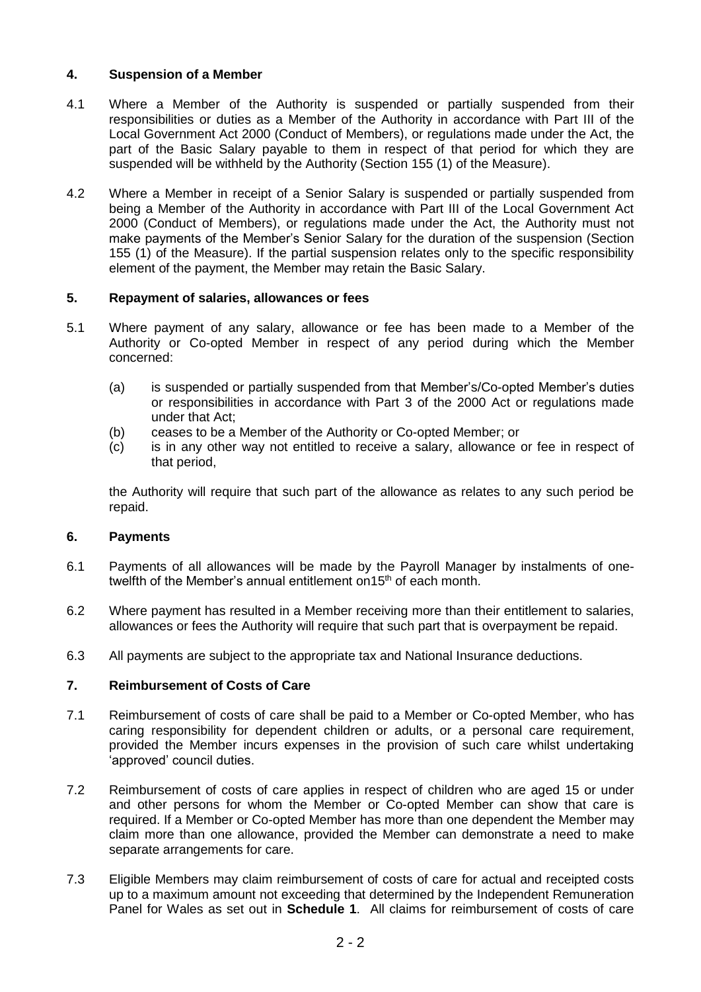# **4. Suspension of a Member**

- 4.1 Where a Member of the Authority is suspended or partially suspended from their responsibilities or duties as a Member of the Authority in accordance with Part III of the Local Government Act 2000 (Conduct of Members), or regulations made under the Act, the part of the Basic Salary payable to them in respect of that period for which they are suspended will be withheld by the Authority (Section 155 (1) of the Measure).
- 4.2 Where a Member in receipt of a Senior Salary is suspended or partially suspended from being a Member of the Authority in accordance with Part III of the Local Government Act 2000 (Conduct of Members), or regulations made under the Act, the Authority must not make payments of the Member's Senior Salary for the duration of the suspension (Section 155 (1) of the Measure). If the partial suspension relates only to the specific responsibility element of the payment, the Member may retain the Basic Salary.

# **5. Repayment of salaries, allowances or fees**

- 5.1 Where payment of any salary, allowance or fee has been made to a Member of the Authority or Co-opted Member in respect of any period during which the Member concerned:
	- (a) is suspended or partially suspended from that Member's/Co-opted Member's duties or responsibilities in accordance with Part 3 of the 2000 Act or regulations made under that Act;
	- (b) ceases to be a Member of the Authority or Co-opted Member; or
	- (c) is in any other way not entitled to receive a salary, allowance or fee in respect of that period,

the Authority will require that such part of the allowance as relates to any such period be repaid.

# **6. Payments**

- 6.1 Payments of all allowances will be made by the Payroll Manager by instalments of onetwelfth of the Member's annual entitlement on 15<sup>th</sup> of each month.
- 6.2 Where payment has resulted in a Member receiving more than their entitlement to salaries, allowances or fees the Authority will require that such part that is overpayment be repaid.
- 6.3 All payments are subject to the appropriate tax and National Insurance deductions.

# **7. Reimbursement of Costs of Care**

- 7.1 Reimbursement of costs of care shall be paid to a Member or Co-opted Member, who has caring responsibility for dependent children or adults, or a personal care requirement, provided the Member incurs expenses in the provision of such care whilst undertaking 'approved' council duties.
- 7.2 Reimbursement of costs of care applies in respect of children who are aged 15 or under and other persons for whom the Member or Co-opted Member can show that care is required. If a Member or Co-opted Member has more than one dependent the Member may claim more than one allowance, provided the Member can demonstrate a need to make separate arrangements for care.
- 7.3 Eligible Members may claim reimbursement of costs of care for actual and receipted costs up to a maximum amount not exceeding that determined by the Independent Remuneration Panel for Wales as set out in **Schedule 1**. All claims for reimbursement of costs of care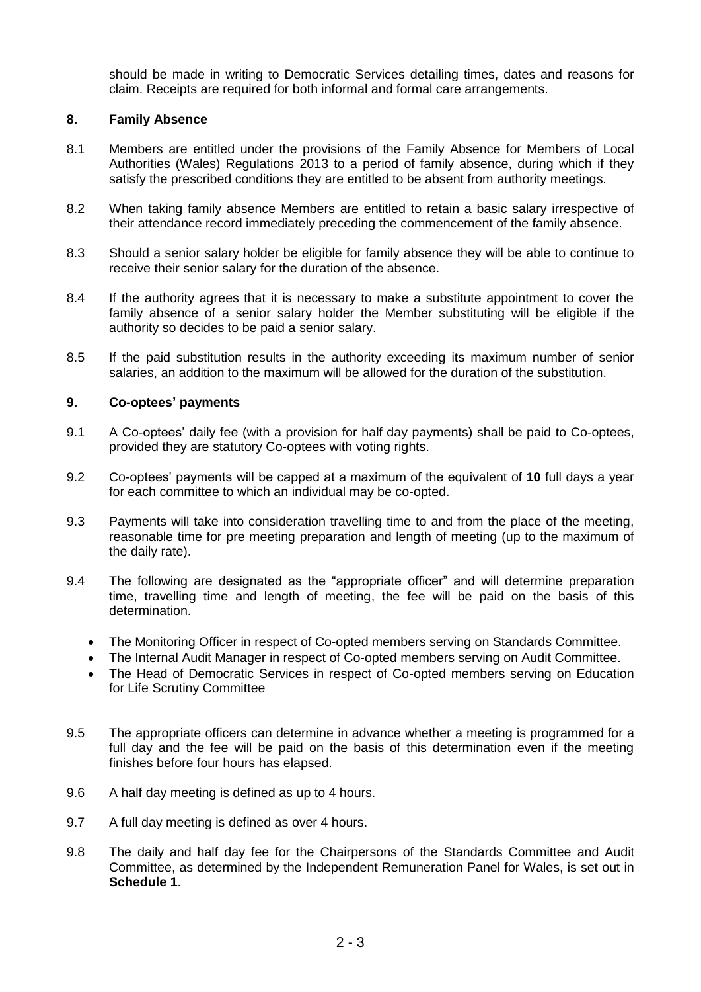should be made in writing to Democratic Services detailing times, dates and reasons for claim. Receipts are required for both informal and formal care arrangements.

#### **8. Family Absence**

- 8.1 Members are entitled under the provisions of the Family Absence for Members of Local Authorities (Wales) Regulations 2013 to a period of family absence, during which if they satisfy the prescribed conditions they are entitled to be absent from authority meetings.
- 8.2 When taking family absence Members are entitled to retain a basic salary irrespective of their attendance record immediately preceding the commencement of the family absence.
- 8.3 Should a senior salary holder be eligible for family absence they will be able to continue to receive their senior salary for the duration of the absence.
- 8.4 If the authority agrees that it is necessary to make a substitute appointment to cover the family absence of a senior salary holder the Member substituting will be eligible if the authority so decides to be paid a senior salary.
- 8.5 If the paid substitution results in the authority exceeding its maximum number of senior salaries, an addition to the maximum will be allowed for the duration of the substitution.

#### **9. Co-optees' payments**

- 9.1 A Co-optees' daily fee (with a provision for half day payments) shall be paid to Co-optees, provided they are statutory Co-optees with voting rights.
- 9.2 Co-optees' payments will be capped at a maximum of the equivalent of **10** full days a year for each committee to which an individual may be co-opted.
- 9.3 Payments will take into consideration travelling time to and from the place of the meeting, reasonable time for pre meeting preparation and length of meeting (up to the maximum of the daily rate).
- 9.4 The following are designated as the "appropriate officer" and will determine preparation time, travelling time and length of meeting, the fee will be paid on the basis of this determination.
	- The Monitoring Officer in respect of Co-opted members serving on Standards Committee.
	- The Internal Audit Manager in respect of Co-opted members serving on Audit Committee.
	- The Head of Democratic Services in respect of Co-opted members serving on Education for Life Scrutiny Committee
- 9.5 The appropriate officers can determine in advance whether a meeting is programmed for a full day and the fee will be paid on the basis of this determination even if the meeting finishes before four hours has elapsed.
- 9.6 A half day meeting is defined as up to 4 hours.
- 9.7 A full day meeting is defined as over 4 hours.
- 9.8 The daily and half day fee for the Chairpersons of the Standards Committee and Audit Committee, as determined by the Independent Remuneration Panel for Wales, is set out in **Schedule 1**.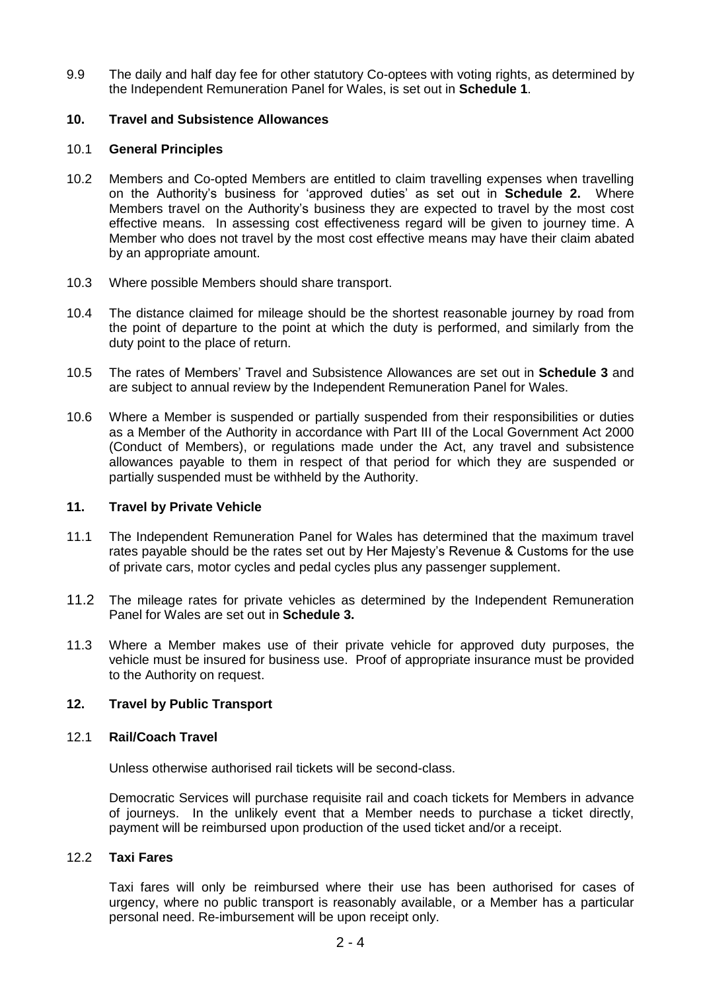9.9 The daily and half day fee for other statutory Co-optees with voting rights, as determined by the Independent Remuneration Panel for Wales, is set out in **Schedule 1**.

#### **10. Travel and Subsistence Allowances**

#### 10.1 **General Principles**

- 10.2 Members and Co-opted Members are entitled to claim travelling expenses when travelling on the Authority's business for 'approved duties' as set out in **Schedule 2.** Where Members travel on the Authority's business they are expected to travel by the most cost effective means. In assessing cost effectiveness regard will be given to journey time. A Member who does not travel by the most cost effective means may have their claim abated by an appropriate amount.
- 10.3 Where possible Members should share transport.
- 10.4 The distance claimed for mileage should be the shortest reasonable journey by road from the point of departure to the point at which the duty is performed, and similarly from the duty point to the place of return.
- 10.5 The rates of Members' Travel and Subsistence Allowances are set out in **Schedule 3** and are subject to annual review by the Independent Remuneration Panel for Wales.
- 10.6 Where a Member is suspended or partially suspended from their responsibilities or duties as a Member of the Authority in accordance with Part III of the Local Government Act 2000 (Conduct of Members), or regulations made under the Act, any travel and subsistence allowances payable to them in respect of that period for which they are suspended or partially suspended must be withheld by the Authority.

#### **11. Travel by Private Vehicle**

- 11.1 The Independent Remuneration Panel for Wales has determined that the maximum travel rates payable should be the rates set out by Her Majesty's Revenue & Customs for the use of private cars, motor cycles and pedal cycles plus any passenger supplement.
- 11.2 The mileage rates for private vehicles as determined by the Independent Remuneration Panel for Wales are set out in **Schedule 3.**
- 11.3 Where a Member makes use of their private vehicle for approved duty purposes, the vehicle must be insured for business use. Proof of appropriate insurance must be provided to the Authority on request.

#### **12. Travel by Public Transport**

#### 12.1 **Rail/Coach Travel**

Unless otherwise authorised rail tickets will be second-class.

Democratic Services will purchase requisite rail and coach tickets for Members in advance of journeys. In the unlikely event that a Member needs to purchase a ticket directly, payment will be reimbursed upon production of the used ticket and/or a receipt.

#### 12.2 **Taxi Fares**

Taxi fares will only be reimbursed where their use has been authorised for cases of urgency, where no public transport is reasonably available, or a Member has a particular personal need. Re-imbursement will be upon receipt only.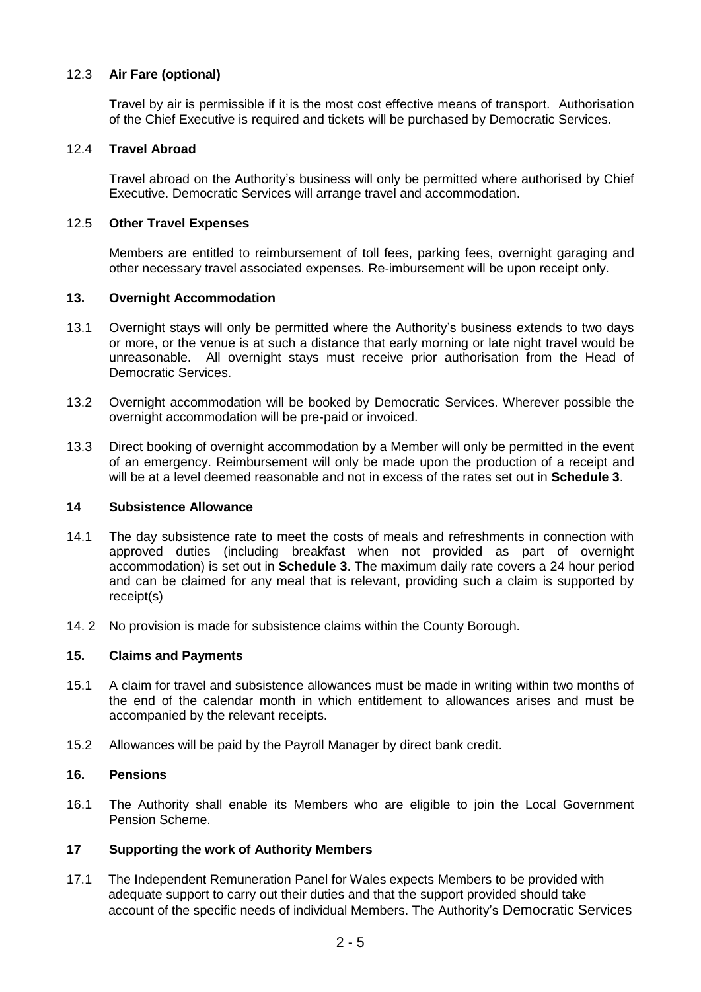# 12.3 **Air Fare (optional)**

Travel by air is permissible if it is the most cost effective means of transport. Authorisation of the Chief Executive is required and tickets will be purchased by Democratic Services.

## 12.4 **Travel Abroad**

Travel abroad on the Authority's business will only be permitted where authorised by Chief Executive. Democratic Services will arrange travel and accommodation.

#### 12.5 **Other Travel Expenses**

Members are entitled to reimbursement of toll fees, parking fees, overnight garaging and other necessary travel associated expenses. Re-imbursement will be upon receipt only.

## **13. Overnight Accommodation**

- 13.1 Overnight stays will only be permitted where the Authority's business extends to two days or more, or the venue is at such a distance that early morning or late night travel would be unreasonable. All overnight stays must receive prior authorisation from the Head of Democratic Services.
- 13.2 Overnight accommodation will be booked by Democratic Services. Wherever possible the overnight accommodation will be pre-paid or invoiced.
- 13.3 Direct booking of overnight accommodation by a Member will only be permitted in the event of an emergency. Reimbursement will only be made upon the production of a receipt and will be at a level deemed reasonable and not in excess of the rates set out in **Schedule 3**.

#### **14 Subsistence Allowance**

- 14.1 The day subsistence rate to meet the costs of meals and refreshments in connection with approved duties (including breakfast when not provided as part of overnight accommodation) is set out in **Schedule 3**. The maximum daily rate covers a 24 hour period and can be claimed for any meal that is relevant, providing such a claim is supported by receipt(s)
- 14. 2 No provision is made for subsistence claims within the County Borough.

## **15. Claims and Payments**

- 15.1 A claim for travel and subsistence allowances must be made in writing within two months of the end of the calendar month in which entitlement to allowances arises and must be accompanied by the relevant receipts.
- 15.2 Allowances will be paid by the Payroll Manager by direct bank credit.

## **16. Pensions**

16.1 The Authority shall enable its Members who are eligible to join the Local Government Pension Scheme.

## **17 Supporting the work of Authority Members**

17.1 The Independent Remuneration Panel for Wales expects Members to be provided with adequate support to carry out their duties and that the support provided should take account of the specific needs of individual Members. The Authority's Democratic Services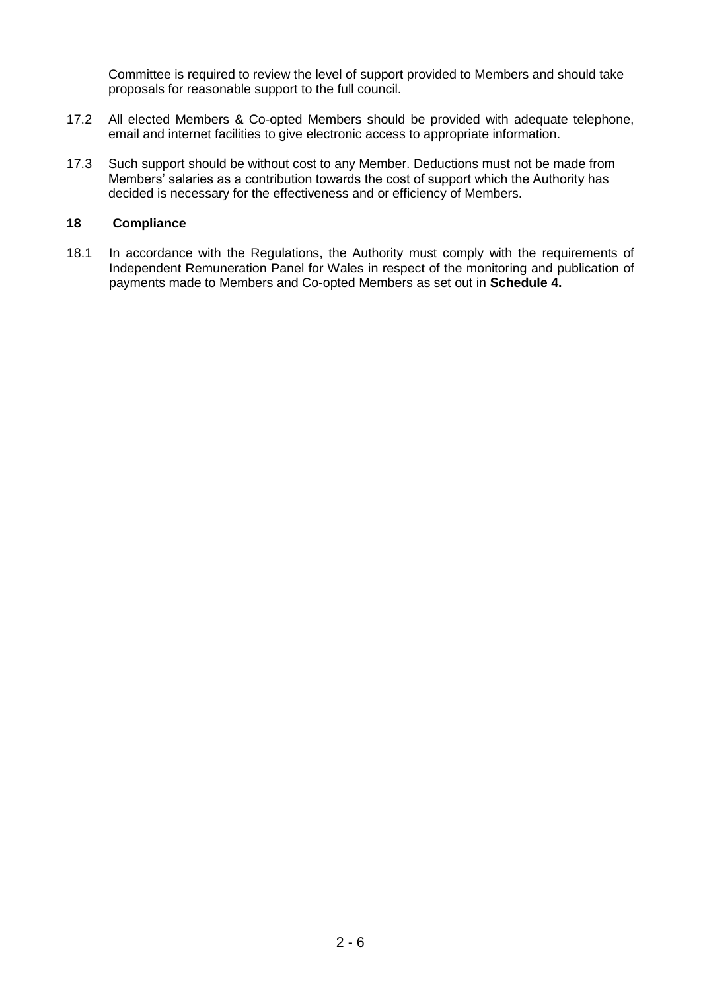Committee is required to review the level of support provided to Members and should take proposals for reasonable support to the full council.

- 17.2 All elected Members & Co-opted Members should be provided with adequate telephone, email and internet facilities to give electronic access to appropriate information.
- 17.3 Such support should be without cost to any Member. Deductions must not be made from Members' salaries as a contribution towards the cost of support which the Authority has decided is necessary for the effectiveness and or efficiency of Members.

#### **18 Compliance**

18.1 In accordance with the Regulations, the Authority must comply with the requirements of Independent Remuneration Panel for Wales in respect of the monitoring and publication of payments made to Members and Co-opted Members as set out in **Schedule 4.**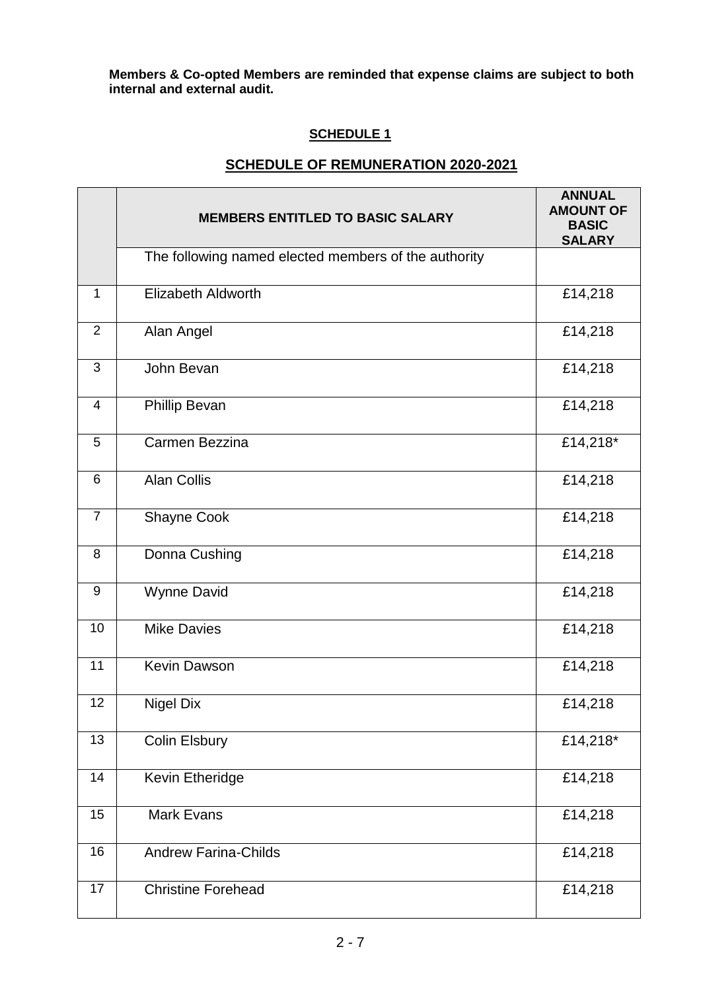**Members & Co-opted Members are reminded that expense claims are subject to both internal and external audit.**

# **SCHEDULE 1**

# **SCHEDULE OF REMUNERATION 2020-2021**

|                | <b>MEMBERS ENTITLED TO BASIC SALARY</b>              | <b>ANNUAL</b><br><b>AMOUNT OF</b><br><b>BASIC</b><br><b>SALARY</b> |
|----------------|------------------------------------------------------|--------------------------------------------------------------------|
|                | The following named elected members of the authority |                                                                    |
| $\mathbf{1}$   | <b>Elizabeth Aldworth</b>                            | £14,218                                                            |
| $\overline{2}$ | Alan Angel                                           | £14,218                                                            |
| 3              | John Bevan                                           | £14,218                                                            |
| 4              | <b>Phillip Bevan</b>                                 | £14,218                                                            |
| 5              | Carmen Bezzina                                       | £14,218*                                                           |
| 6              | <b>Alan Collis</b>                                   | £14,218                                                            |
| $\overline{7}$ | Shayne Cook                                          | £14,218                                                            |
| 8              | Donna Cushing                                        | £14,218                                                            |
| 9              | <b>Wynne David</b>                                   | £14,218                                                            |
| 10             | <b>Mike Davies</b>                                   | £14,218                                                            |
| 11             | <b>Kevin Dawson</b>                                  | £14,218                                                            |
| 12             | <b>Nigel Dix</b>                                     | £14,218                                                            |
| 13             | Colin Elsbury                                        | £14,218*                                                           |
| 14             | Kevin Etheridge                                      | £14,218                                                            |
| 15             | <b>Mark Evans</b>                                    | £14,218                                                            |
| 16             | <b>Andrew Farina-Childs</b>                          | £14,218                                                            |
| 17             | <b>Christine Forehead</b>                            | £14,218                                                            |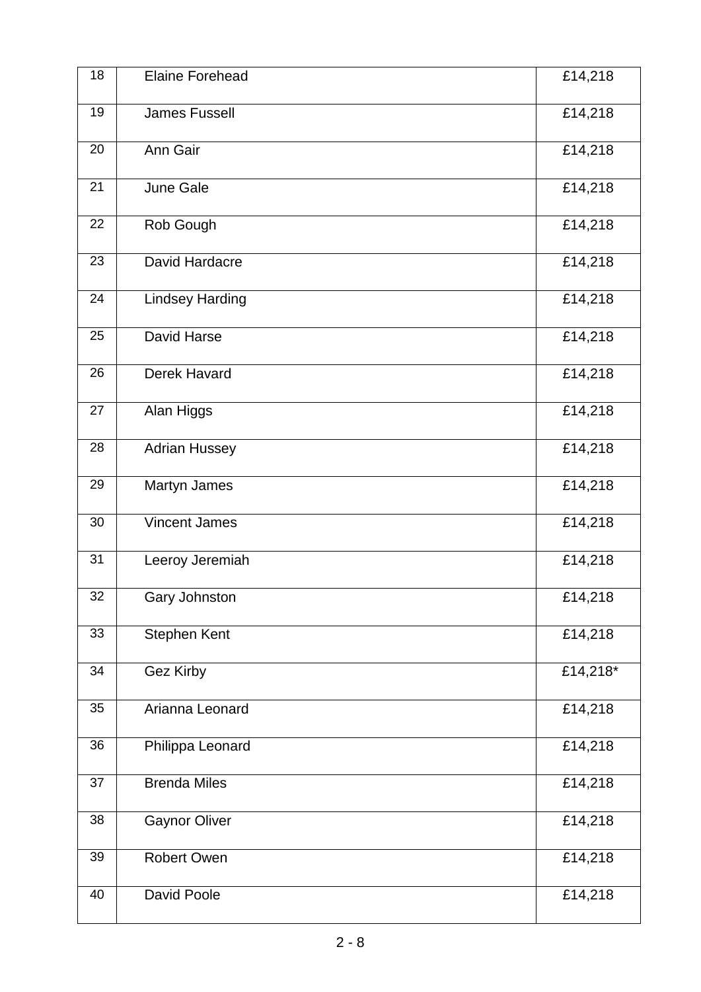| 18 | <b>Elaine Forehead</b> | £14,218  |
|----|------------------------|----------|
| 19 | <b>James Fussell</b>   | £14,218  |
| 20 | Ann Gair               | £14,218  |
| 21 | June Gale              | £14,218  |
| 22 | Rob Gough              | £14,218  |
| 23 | David Hardacre         | £14,218  |
| 24 | <b>Lindsey Harding</b> | £14,218  |
| 25 | <b>David Harse</b>     | £14,218  |
| 26 | <b>Derek Havard</b>    | £14,218  |
| 27 | Alan Higgs             | £14,218  |
| 28 | <b>Adrian Hussey</b>   | £14,218  |
| 29 | Martyn James           | £14,218  |
| 30 | <b>Vincent James</b>   | £14,218  |
| 31 | Leeroy Jeremiah        | £14,218  |
| 32 | Gary Johnston          | £14,218  |
| 33 | Stephen Kent           | £14,218  |
| 34 | Gez Kirby              | £14,218* |
| 35 | Arianna Leonard        | £14,218  |
| 36 | Philippa Leonard       | £14,218  |
| 37 | <b>Brenda Miles</b>    | £14,218  |
| 38 | <b>Gaynor Oliver</b>   | £14,218  |
| 39 | <b>Robert Owen</b>     | £14,218  |
| 40 | David Poole            | £14,218  |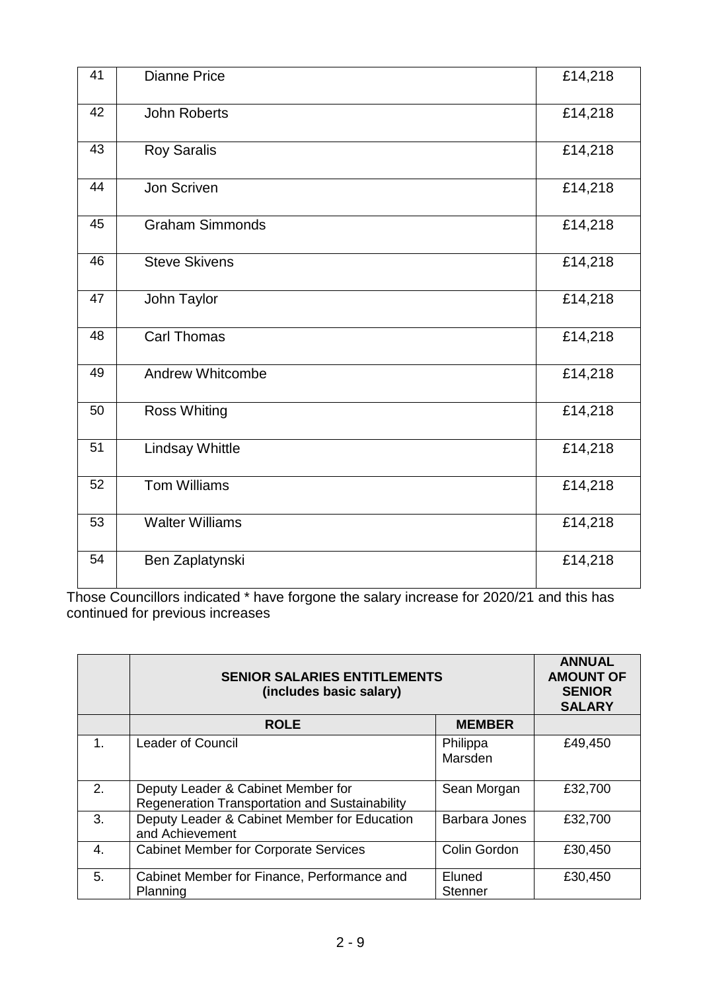| 41 | <b>Dianne Price</b>     | £14,218 |
|----|-------------------------|---------|
| 42 | <b>John Roberts</b>     | £14,218 |
| 43 | <b>Roy Saralis</b>      | £14,218 |
| 44 | <b>Jon Scriven</b>      | £14,218 |
| 45 | <b>Graham Simmonds</b>  | £14,218 |
| 46 | <b>Steve Skivens</b>    | £14,218 |
| 47 | John Taylor             | £14,218 |
| 48 | <b>Carl Thomas</b>      | £14,218 |
| 49 | <b>Andrew Whitcombe</b> | £14,218 |
| 50 | <b>Ross Whiting</b>     | £14,218 |
| 51 | <b>Lindsay Whittle</b>  | £14,218 |
| 52 | Tom Williams            | £14,218 |
| 53 | <b>Walter Williams</b>  | £14,218 |
| 54 | Ben Zaplatynski         | £14,218 |

Those Councillors indicated \* have forgone the salary increase for 2020/21 and this has continued for previous increases

|    | <b>SENIOR SALARIES ENTITLEMENTS</b><br>(includes basic salary)                       |                          | <b>ANNUAL</b><br><b>AMOUNT OF</b><br><b>SENIOR</b><br><b>SALARY</b> |
|----|--------------------------------------------------------------------------------------|--------------------------|---------------------------------------------------------------------|
|    | <b>ROLE</b>                                                                          | <b>MEMBER</b>            |                                                                     |
| 1. | <b>Leader of Council</b>                                                             | Philippa<br>Marsden      | £49,450                                                             |
| 2. | Deputy Leader & Cabinet Member for<br>Regeneration Transportation and Sustainability | Sean Morgan              | £32,700                                                             |
| 3. | Deputy Leader & Cabinet Member for Education<br>and Achievement                      | <b>Barbara Jones</b>     | £32,700                                                             |
| 4. | <b>Cabinet Member for Corporate Services</b>                                         | Colin Gordon             | £30,450                                                             |
| 5. | Cabinet Member for Finance, Performance and<br>Planning                              | Eluned<br><b>Stenner</b> | £30,450                                                             |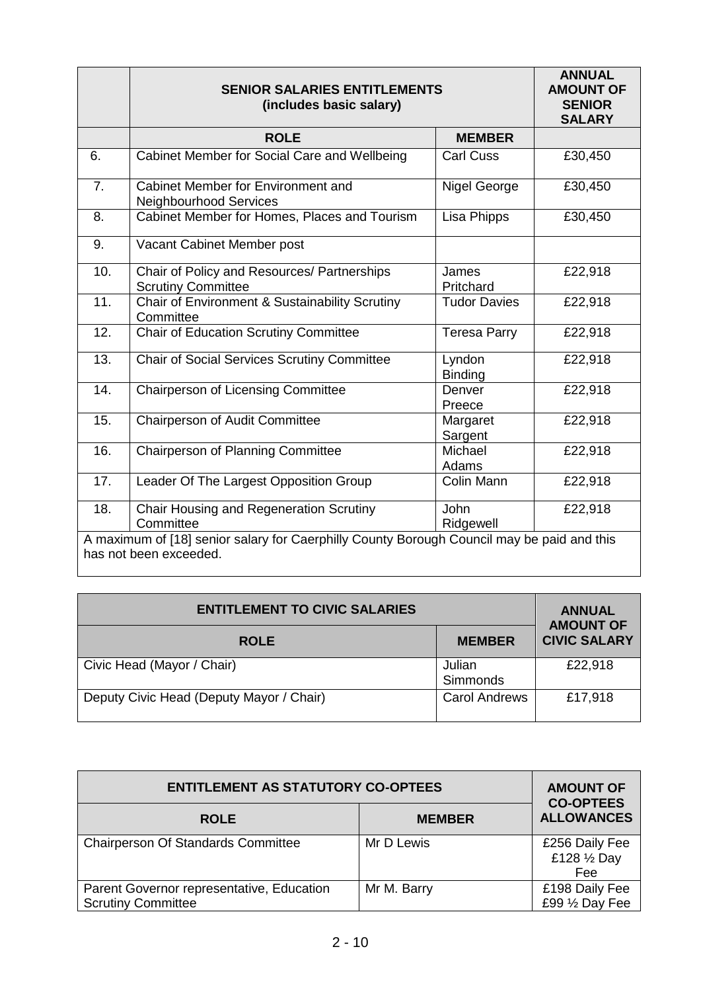|                                                                                            | <b>SENIOR SALARIES ENTITLEMENTS</b><br>(includes basic salary)           |                          | <b>ANNUAL</b><br><b>AMOUNT OF</b><br><b>SENIOR</b><br><b>SALARY</b> |
|--------------------------------------------------------------------------------------------|--------------------------------------------------------------------------|--------------------------|---------------------------------------------------------------------|
|                                                                                            | <b>ROLE</b>                                                              | <b>MEMBER</b>            |                                                                     |
| 6.                                                                                         | Cabinet Member for Social Care and Wellbeing                             | <b>Carl Cuss</b>         | £30,450                                                             |
| 7.                                                                                         | Cabinet Member for Environment and<br><b>Neighbourhood Services</b>      | Nigel George             | £30,450                                                             |
| 8.                                                                                         | Cabinet Member for Homes, Places and Tourism                             | Lisa Phipps              | £30,450                                                             |
| 9.                                                                                         | Vacant Cabinet Member post                                               |                          |                                                                     |
| 10.                                                                                        | Chair of Policy and Resources/ Partnerships<br><b>Scrutiny Committee</b> | James<br>Pritchard       | £22,918                                                             |
| 11.                                                                                        | Chair of Environment & Sustainability Scrutiny<br>Committee              | <b>Tudor Davies</b>      | £22,918                                                             |
| 12.                                                                                        | <b>Chair of Education Scrutiny Committee</b>                             | <b>Teresa Parry</b>      | £22,918                                                             |
| 13.                                                                                        | <b>Chair of Social Services Scrutiny Committee</b>                       | Lyndon<br><b>Binding</b> | £22,918                                                             |
| 14.                                                                                        | <b>Chairperson of Licensing Committee</b>                                | Denver<br>Preece         | £22,918                                                             |
| 15.                                                                                        | Chairperson of Audit Committee                                           | Margaret<br>Sargent      | £22,918                                                             |
| 16.                                                                                        | <b>Chairperson of Planning Committee</b>                                 | Michael<br>Adams         | £22,918                                                             |
| 17.                                                                                        | Leader Of The Largest Opposition Group                                   | Colin Mann               | £22,918                                                             |
| 18.                                                                                        | Chair Housing and Regeneration Scrutiny<br>Committee                     | John<br>Ridgewell        | £22,918                                                             |
| A maximum of [18] senior salary for Caerphilly County Borough Council may be paid and this |                                                                          |                          |                                                                     |
| has not been exceeded.                                                                     |                                                                          |                          |                                                                     |

| <b>ENTITLEMENT TO CIVIC SALARIES</b>     |                      | <b>ANNUAL</b><br><b>AMOUNT OF</b> |
|------------------------------------------|----------------------|-----------------------------------|
| <b>ROLE</b>                              | <b>MEMBER</b>        | <b>CIVIC SALARY</b>               |
| Civic Head (Mayor / Chair)               | Julian<br>Simmonds   | £22,918                           |
| Deputy Civic Head (Deputy Mayor / Chair) | <b>Carol Andrews</b> | £17,918                           |

| <b>ENTITLEMENT AS STATUTORY CO-OPTEES</b>                              |               | <b>AMOUNT OF</b><br><b>CO-OPTEES</b>  |
|------------------------------------------------------------------------|---------------|---------------------------------------|
| <b>ROLE</b>                                                            | <b>MEMBER</b> | <b>ALLOWANCES</b>                     |
| <b>Chairperson Of Standards Committee</b>                              | Mr D Lewis    | £256 Daily Fee<br>£128 1/2 Day<br>Fee |
| Parent Governor representative, Education<br><b>Scrutiny Committee</b> | Mr M. Barry   | £198 Daily Fee<br>£99 1/2 Day Fee     |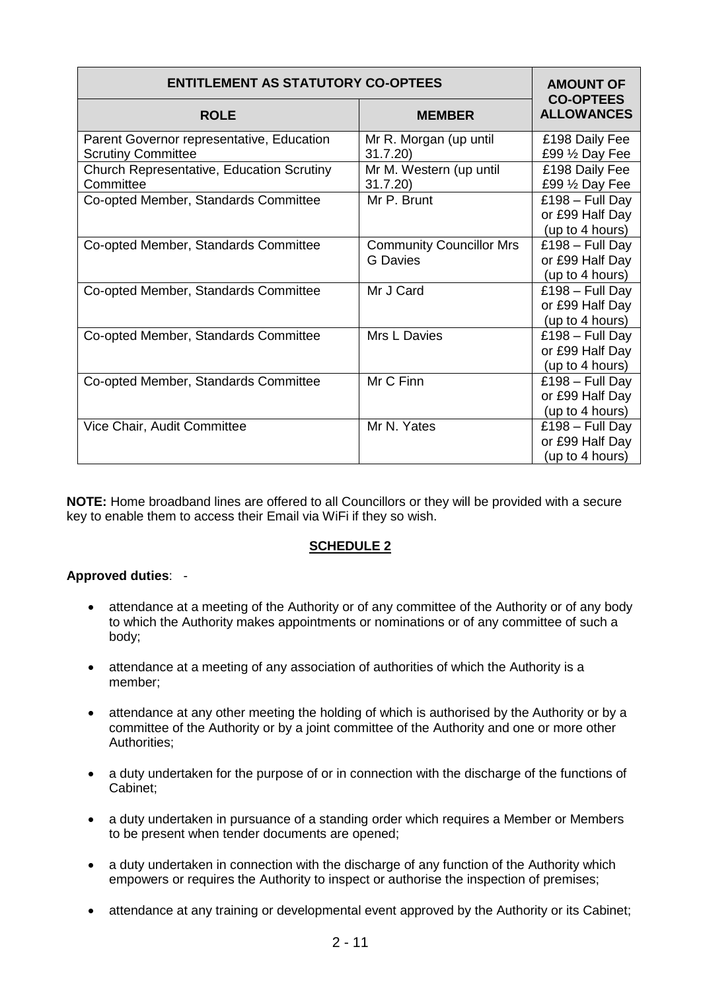| <b>ENTITLEMENT AS STATUTORY CO-OPTEES</b>                              | <b>AMOUNT OF</b><br><b>CO-OPTEES</b>               |                                                         |
|------------------------------------------------------------------------|----------------------------------------------------|---------------------------------------------------------|
| <b>ROLE</b>                                                            | <b>MEMBER</b>                                      | <b>ALLOWANCES</b>                                       |
| Parent Governor representative, Education<br><b>Scrutiny Committee</b> | Mr R. Morgan (up until<br>31.7.20                  | £198 Daily Fee<br>£99 1/2 Day Fee                       |
| <b>Church Representative, Education Scrutiny</b><br>Committee          | Mr M. Western (up until<br>31.7.20                 | £198 Daily Fee<br>£99 1/2 Day Fee                       |
| Co-opted Member, Standards Committee                                   | Mr P. Brunt                                        | $£198 - Full Day$<br>or £99 Half Day<br>(up to 4 hours) |
| Co-opted Member, Standards Committee                                   | <b>Community Councillor Mrs</b><br><b>G</b> Davies | $£198 - Full Day$<br>or £99 Half Day<br>(up to 4 hours) |
| Co-opted Member, Standards Committee                                   | Mr J Card                                          | $£198 - Full Day$<br>or £99 Half Day<br>(up to 4 hours) |
| Co-opted Member, Standards Committee                                   | Mrs L Davies                                       | $£198 - Full Day$<br>or £99 Half Day<br>(up to 4 hours) |
| Co-opted Member, Standards Committee                                   | Mr C Finn                                          | $£198 - Full Day$<br>or £99 Half Day<br>(up to 4 hours) |
| Vice Chair, Audit Committee                                            | Mr N. Yates                                        | $£198 - Full Day$<br>or £99 Half Day<br>(up to 4 hours) |

**NOTE:** Home broadband lines are offered to all Councillors or they will be provided with a secure key to enable them to access their Email via WiFi if they so wish.

# **SCHEDULE 2**

## **Approved duties**: -

- attendance at a meeting of the Authority or of any committee of the Authority or of any body to which the Authority makes appointments or nominations or of any committee of such a body;
- attendance at a meeting of any association of authorities of which the Authority is a member;
- attendance at any other meeting the holding of which is authorised by the Authority or by a committee of the Authority or by a joint committee of the Authority and one or more other Authorities;
- a duty undertaken for the purpose of or in connection with the discharge of the functions of Cabinet;
- a duty undertaken in pursuance of a standing order which requires a Member or Members to be present when tender documents are opened;
- a duty undertaken in connection with the discharge of any function of the Authority which empowers or requires the Authority to inspect or authorise the inspection of premises;
- attendance at any training or developmental event approved by the Authority or its Cabinet;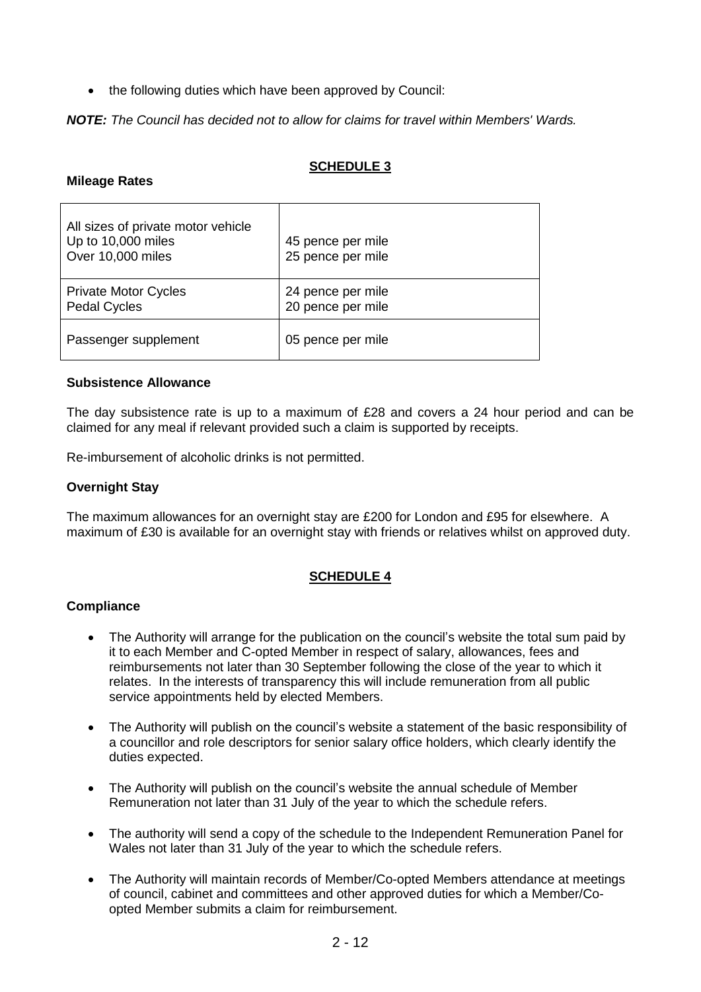• the following duties which have been approved by Council:

*NOTE: The Council has decided not to allow for claims for travel within Members' Wards.*

# **SCHEDULE 3**

## **Mileage Rates**

| All sizes of private motor vehicle<br>Up to 10,000 miles<br>Over 10,000 miles | 45 pence per mile<br>25 pence per mile |
|-------------------------------------------------------------------------------|----------------------------------------|
| <b>Private Motor Cycles</b><br><b>Pedal Cycles</b>                            | 24 pence per mile<br>20 pence per mile |
| Passenger supplement                                                          | 05 pence per mile                      |

## **Subsistence Allowance**

The day subsistence rate is up to a maximum of £28 and covers a 24 hour period and can be claimed for any meal if relevant provided such a claim is supported by receipts.

Re-imbursement of alcoholic drinks is not permitted.

## **Overnight Stay**

The maximum allowances for an overnight stay are £200 for London and £95 for elsewhere. A maximum of £30 is available for an overnight stay with friends or relatives whilst on approved duty.

# **SCHEDULE 4**

## **Compliance**

- The Authority will arrange for the publication on the council's website the total sum paid by it to each Member and C-opted Member in respect of salary, allowances, fees and reimbursements not later than 30 September following the close of the year to which it relates. In the interests of transparency this will include remuneration from all public service appointments held by elected Members.
- The Authority will publish on the council's website a statement of the basic responsibility of a councillor and role descriptors for senior salary office holders, which clearly identify the duties expected.
- The Authority will publish on the council's website the annual schedule of Member Remuneration not later than 31 July of the year to which the schedule refers.
- The authority will send a copy of the schedule to the Independent Remuneration Panel for Wales not later than 31 July of the year to which the schedule refers.
- The Authority will maintain records of Member/Co-opted Members attendance at meetings of council, cabinet and committees and other approved duties for which a Member/Coopted Member submits a claim for reimbursement.